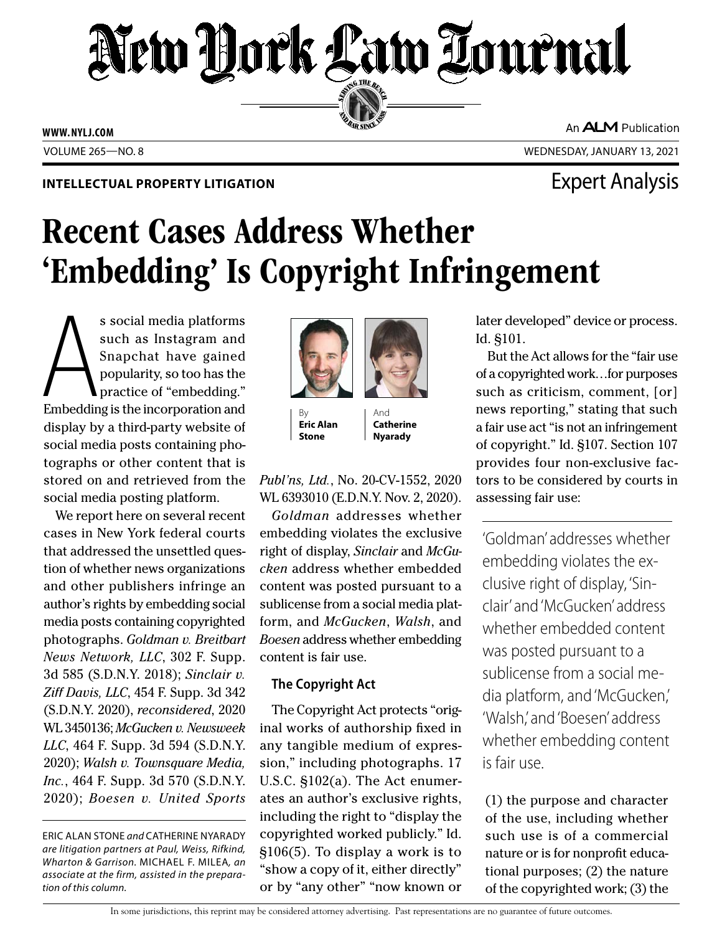# New York Law Tournal SERVING THE BEN

**ED BAR SINCE 188** 

**WWW. NYLJ.COM**

An **ALM** Publication

VOLUME 265—NO. 8 WEDNESDAY, JANUARY 13, 2021

### **INTELLECTUAL PROPERTY LITIGATION EXPERTY LITIGATION**

## Recent Cases Address Whether 'Embedding' Is Copyright Infringement

s social media platforms<br>such as Instagram and<br>Snapchat have gained<br>popularity, so too has the<br>practice of "embedding."<br>Embedding is the incorporation and s social media platforms such as Instagram and Snapchat have gained popularity, so too has the practice of "embedding." display by a third-party website of social media posts containing photographs or other content that is stored on and retrieved from the social media posting platform.

We report here on several recent cases in New York federal courts that addressed the unsettled question of whether news organizations and other publishers infringe an author's rights by embedding social media posts containing copyrighted photographs. *Goldman v. Breitbart News Network, LLC*, 302 F. Supp. 3d 585 (S.D.N.Y. 2018); *Sinclair v. Ziff Davis, LLC*, 454 F. Supp. 3d 342 (S.D.N.Y. 2020), *reconsidered*, 2020 WL 3450136; *McGucken v. Newsweek LLC*, 464 F. Supp. 3d 594 (S.D.N.Y. 2020); *Walsh v. Townsquare Media, Inc.*, 464 F. Supp. 3d 570 (S.D.N.Y. 2020); *Boesen v. United Sports* 

ERIC ALAN STONE *and* CATHERINE NYARADY *are litigation partners at Paul, Weiss, Rifkind, Wharton & Garrison.* MICHAEL F. MILEA*, an associate at the firm, assisted in the preparation of this column.*



By **Eric Alan Stone**

And **Catherine Nyarady**

*Publ'ns, Ltd.*, No. 20-CV-1552, 2020 WL 6393010 (E.D.N.Y. Nov. 2, 2020).

*Goldman* addresses whether embedding violates the exclusive right of display, *Sinclair* and *McGucken* address whether embedded content was posted pursuant to a sublicense from a social media platform, and *McGucken*, *Walsh*, and *Boesen* address whether embedding content is fair use.

### **The Copyright Act**

The Copyright Act protects "original works of authorship fixed in any tangible medium of expression," including photographs. 17 U.S.C. §102(a). The Act enumerates an author's exclusive rights, including the right to "display the copyrighted worked publicly." Id. §106(5). To display a work is to "show a copy of it, either directly" or by "any other" "now known or later developed" device or process. Id. §101.

But the Act allows for the "fair use of a copyrighted work…for purposes such as criticism, comment, [or] news reporting," stating that such a fair use act "is not an infringement of copyright." Id. §107. Section 107 provides four non-exclusive factors to be considered by courts in assessing fair use:

'Goldman' addresses whether embedding violates the exclusive right of display, 'Sinclair' and 'McGucken' address whether embedded content was posted pursuant to a sublicense from a social media platform, and 'McGucken,' 'Walsh,' and 'Boesen' address whether embedding content is fair use.

(1) the purpose and character of the use, including whether such use is of a commercial nature or is for nonprofit educational purposes; (2) the nature of the copyrighted work; (3) the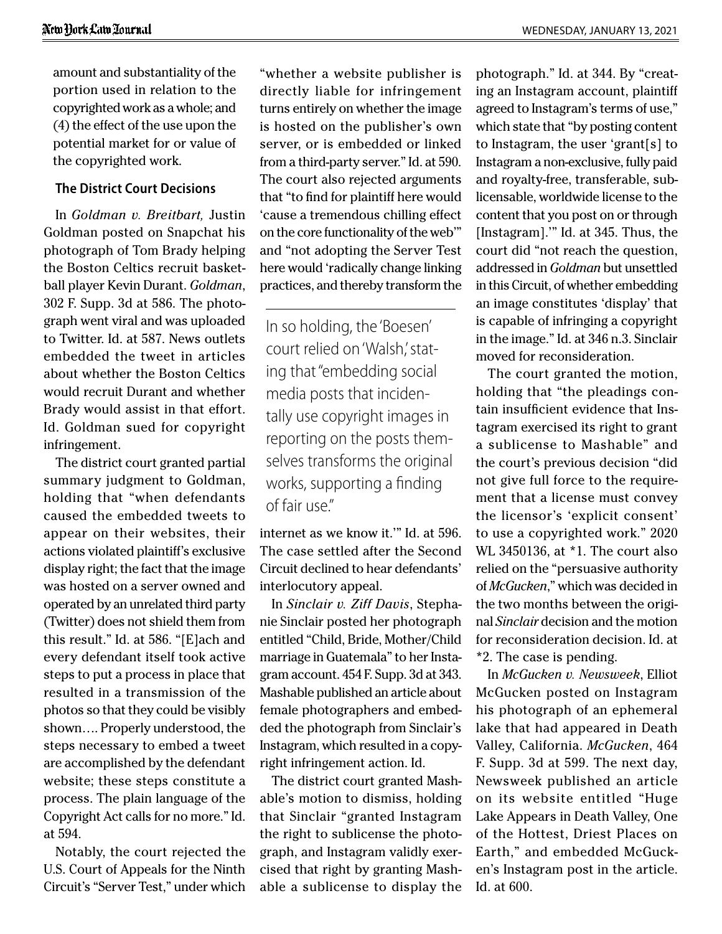amount and substantiality of the portion used in relation to the copyrighted work as a whole; and (4) the effect of the use upon the potential market for or value of the copyrighted work.

#### **The District Court Decisions**

In *Goldman v. Breitbart,* Justin Goldman posted on Snapchat his photograph of Tom Brady helping the Boston Celtics recruit basketball player Kevin Durant. *Goldman*, 302 F. Supp. 3d at 586. The photograph went viral and was uploaded to Twitter. Id. at 587. News outlets embedded the tweet in articles about whether the Boston Celtics would recruit Durant and whether Brady would assist in that effort. Id. Goldman sued for copyright infringement.

The district court granted partial summary judgment to Goldman, holding that "when defendants caused the embedded tweets to appear on their websites, their actions violated plaintiff's exclusive display right; the fact that the image was hosted on a server owned and operated by an unrelated third party (Twitter) does not shield them from this result." Id. at 586. "[E]ach and every defendant itself took active steps to put a process in place that resulted in a transmission of the photos so that they could be visibly shown…. Properly understood, the steps necessary to embed a tweet are accomplished by the defendant website; these steps constitute a process. The plain language of the Copyright Act calls for no more." Id. at 594.

Notably, the court rejected the U.S. Court of Appeals for the Ninth Circuit's "Server Test," under which

"whether a website publisher is directly liable for infringement turns entirely on whether the image is hosted on the publisher's own server, or is embedded or linked from a third-party server." Id. at 590. The court also rejected arguments that "to find for plaintiff here would 'cause a tremendous chilling effect on the core functionality of the web'" and "not adopting the Server Test here would 'radically change linking practices, and thereby transform the

In so holding, the 'Boesen' court relied on 'Walsh,' stating that "embedding social media posts that incidentally use copyright images in reporting on the posts themselves transforms the original works, supporting a finding of fair use."

internet as we know it.'" Id. at 596. The case settled after the Second Circuit declined to hear defendants' interlocutory appeal.

In *Sinclair v. Ziff Davis*, Stephanie Sinclair posted her photograph entitled "Child, Bride, Mother/Child marriage in Guatemala" to her Instagram account. 454 F. Supp. 3d at 343. Mashable published an article about female photographers and embedded the photograph from Sinclair's Instagram, which resulted in a copyright infringement action. Id.

The district court granted Mashable's motion to dismiss, holding that Sinclair "granted Instagram the right to sublicense the photograph, and Instagram validly exercised that right by granting Mashable a sublicense to display the

photograph." Id. at 344. By "creating an Instagram account, plaintiff agreed to Instagram's terms of use," which state that "by posting content to Instagram, the user 'grant[s] to Instagram a non-exclusive, fully paid and royalty-free, transferable, sublicensable, worldwide license to the content that you post on or through [Instagram]." Id. at 345. Thus, the court did "not reach the question, addressed in *Goldman* but unsettled in this Circuit, of whether embedding an image constitutes 'display' that is capable of infringing a copyright in the image." Id. at 346 n.3. Sinclair moved for reconsideration.

The court granted the motion, holding that "the pleadings contain insufficient evidence that Instagram exercised its right to grant a sublicense to Mashable" and the court's previous decision "did not give full force to the requirement that a license must convey the licensor's 'explicit consent' to use a copyrighted work." 2020 WL 3450136, at \*1. The court also relied on the "persuasive authority of *McGucken*," which was decided in the two months between the original *Sinclair* decision and the motion for reconsideration decision. Id. at \*2. The case is pending.

In *McGucken v. Newsweek*, Elliot McGucken posted on Instagram his photograph of an ephemeral lake that had appeared in Death Valley, California. *McGucken*, 464 F. Supp. 3d at 599. The next day, Newsweek published an article on its website entitled "Huge Lake Appears in Death Valley, One of the Hottest, Driest Places on Earth," and embedded McGucken's Instagram post in the article. Id. at 600.